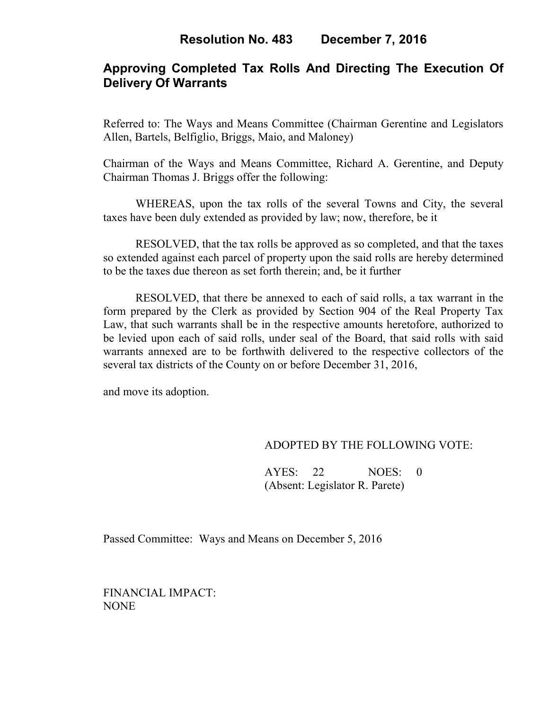# **Approving Completed Tax Rolls And Directing The Execution Of Delivery Of Warrants**

Referred to: The Ways and Means Committee (Chairman Gerentine and Legislators Allen, Bartels, Belfiglio, Briggs, Maio, and Maloney)

Chairman of the Ways and Means Committee, Richard A. Gerentine, and Deputy Chairman Thomas J. Briggs offer the following:

WHEREAS, upon the tax rolls of the several Towns and City, the several taxes have been duly extended as provided by law; now, therefore, be it

RESOLVED, that the tax rolls be approved as so completed, and that the taxes so extended against each parcel of property upon the said rolls are hereby determined to be the taxes due thereon as set forth therein; and, be it further

RESOLVED, that there be annexed to each of said rolls, a tax warrant in the form prepared by the Clerk as provided by Section 904 of the Real Property Tax Law, that such warrants shall be in the respective amounts heretofore, authorized to be levied upon each of said rolls, under seal of the Board, that said rolls with said warrants annexed are to be forthwith delivered to the respective collectors of the several tax districts of the County on or before December 31, 2016,

and move its adoption.

### ADOPTED BY THE FOLLOWING VOTE:

AYES: 22 NOES: 0 (Absent: Legislator R. Parete)

Passed Committee: Ways and Means on December 5, 2016

FINANCIAL IMPACT: NONE